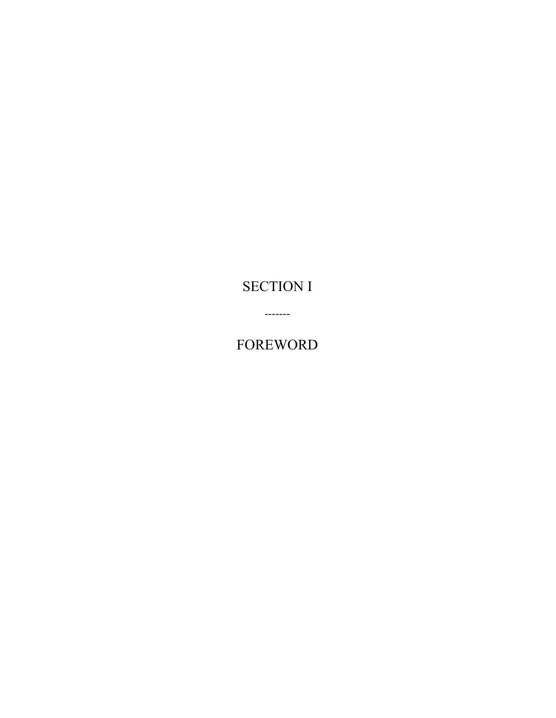# **SECTION I**

**FOREWORD** 

 $-----$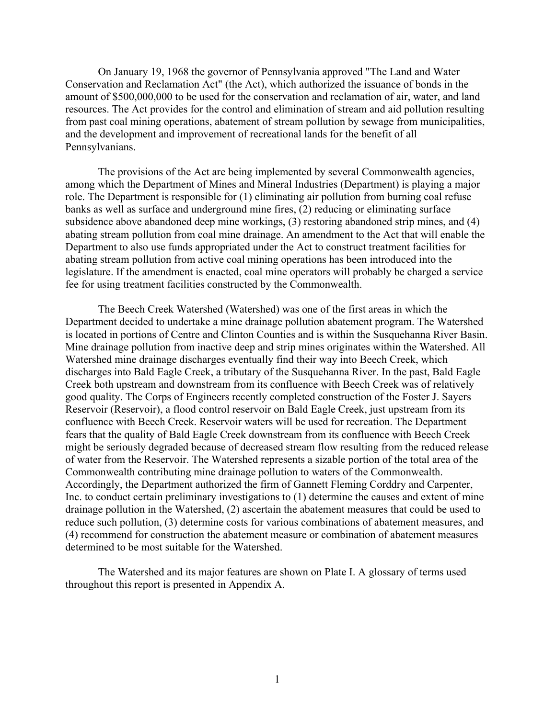On January 19, 1968 the governor of Pennsylvania approved "The Land and Water Conservation and Reclamation Act" (the Act), which authorized the issuance of bonds in the amount of \$500,000,000 to be used for the conservation and reclamation of air, water, and land resources. The Act provides for the control and elimination of stream and aid pollution resulting from past coal mining operations, abatement of stream pollution by sewage from municipalities, and the development and improvement of recreational lands for the benefit of all Pennsylvanians.

The provisions of the Act are being implemented by several Commonwealth agencies, among which the Department of Mines and Mineral Industries (Department) is playing a major role. The Department is responsible for (1) eliminating air pollution from burning coal refuse banks as well as surface and underground mine fires, (2) reducing or eliminating surface subsidence above abandoned deep mine workings, (3) restoring abandoned strip mines, and (4) abating stream pollution from coal mine drainage. An amendment to the Act that will enable the Department to also use funds appropriated under the Act to construct treatment facilities for abating stream pollution from active coal mining operations has been introduced into the legislature. If the amendment is enacted, coal mine operators will probably be charged a service fee for using treatment facilities constructed by the Commonwealth.

The Beech Creek Watershed (Watershed) was one of the first areas in which the Department decided to undertake a mine drainage pollution abatement program. The Watershed is located in portions of Centre and Clinton Counties and is within the Susquehanna River Basin. Mine drainage pollution from inactive deep and strip mines originates within the Watershed. All Watershed mine drainage discharges eventually find their way into Beech Creek, which discharges into Bald Eagle Creek, a tributary of the Susquehanna River. In the past, Bald Eagle Creek both upstream and downstream from its confluence with Beech Creek was of relatively good quality. The Corps of Engineers recently completed construction of the Foster J. Sayers Reservoir (Reservoir), a flood control reservoir on Bald Eagle Creek, just upstream from its confluence with Beech Creek. Reservoir waters will be used for recreation. The Department fears that the quality of Bald Eagle Creek downstream from its confluence with Beech Creek might be seriously degraded because of decreased stream flow resulting from the reduced release of water from the Reservoir. The Watershed represents a sizable portion of the total area of the Commonwealth contributing mine drainage pollution to waters of the Commonwealth. Accordingly, the Department authorized the firm of Gannett Fleming Corddry and Carpenter, Inc. to conduct certain preliminary investigations to (1) determine the causes and extent of mine drainage pollution in the Watershed, (2) ascertain the abatement measures that could be used to reduce such pollution, (3) determine costs for various combinations of abatement measures, and (4) recommend for construction the abatement measure or combination of abatement measures determined to be most suitable for the Watershed.

The Watershed and its major features are shown on Plate I. A glossary of terms used throughout this report is presented in Appendix A.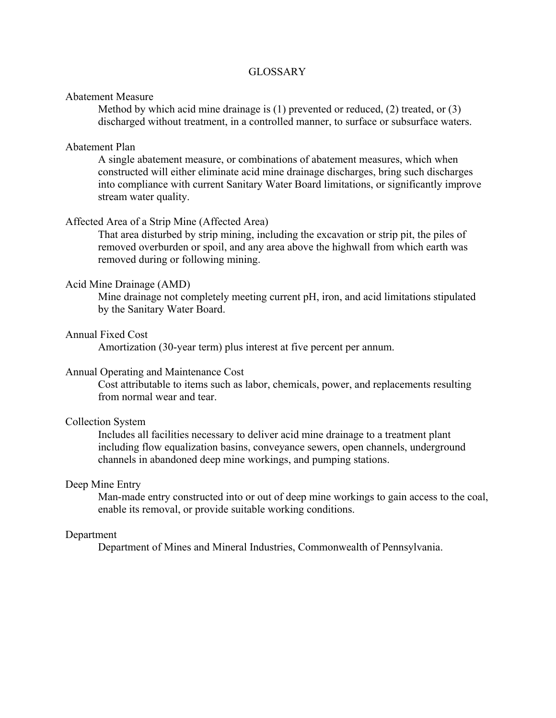## **GLOSSARY**

#### Abatement Measure

Method by which acid mine drainage is (1) prevented or reduced, (2) treated, or (3) discharged without treatment, in a controlled manner, to surface or subsurface waters.

#### Abatement Plan

A single abatement measure, or combinations of abatement measures, which when constructed will either eliminate acid mine drainage discharges, bring such discharges into compliance with current Sanitary Water Board limitations, or significantly improve stream water quality.

### Affected Area of a Strip Mine (Affected Area)

That area disturbed by strip mining, including the excavation or strip pit, the piles of removed overburden or spoil, and any area above the highwall from which earth was removed during or following mining.

#### Acid Mine Drainage (AMD)

Mine drainage not completely meeting current pH, iron, and acid limitations stipulated by the Sanitary Water Board.

## Annual Fixed Cost

Amortization (30-year term) plus interest at five percent per annum.

#### Annual Operating and Maintenance Cost

Cost attributable to items such as labor, chemicals, power, and replacements resulting from normal wear and tear.

## Collection System

Includes all facilities necessary to deliver acid mine drainage to a treatment plant including flow equalization basins, conveyance sewers, open channels, underground channels in abandoned deep mine workings, and pumping stations.

## Deep Mine Entry

Man-made entry constructed into or out of deep mine workings to gain access to the coal, enable its removal, or provide suitable working conditions.

## Department

Department of Mines and Mineral Industries, Commonwealth of Pennsylvania.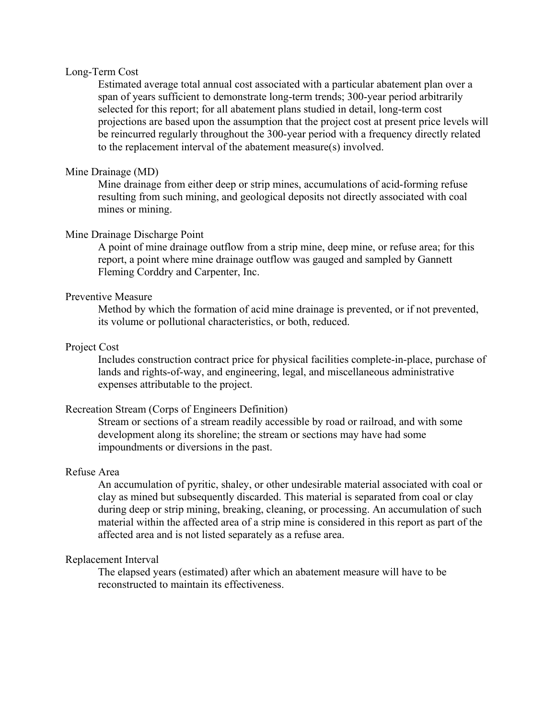## Long-Term Cost

Estimated average total annual cost associated with a particular abatement plan over a span of years sufficient to demonstrate long-term trends; 300-year period arbitrarily selected for this report; for all abatement plans studied in detail, long-term cost projections are based upon the assumption that the project cost at present price levels will be reincurred regularly throughout the 300-year period with a frequency directly related to the replacement interval of the abatement measure(s) involved.

## Mine Drainage (MD)

Mine drainage from either deep or strip mines, accumulations of acid-forming refuse resulting from such mining, and geological deposits not directly associated with coal mines or mining.

### Mine Drainage Discharge Point

A point of mine drainage outflow from a strip mine, deep mine, or refuse area; for this report, a point where mine drainage outflow was gauged and sampled by Gannett Fleming Corddry and Carpenter, Inc.

## Preventive Measure

Method by which the formation of acid mine drainage is prevented, or if not prevented, its volume or pollutional characteristics, or both, reduced.

## Project Cost

Includes construction contract price for physical facilities complete-in-place, purchase of lands and rights-of-way, and engineering, legal, and miscellaneous administrative expenses attributable to the project.

## Recreation Stream (Corps of Engineers Definition)

Stream or sections of a stream readily accessible by road or railroad, and with some development along its shoreline; the stream or sections may have had some impoundments or diversions in the past.

## Refuse Area

An accumulation of pyritic, shaley, or other undesirable material associated with coal or clay as mined but subsequently discarded. This material is separated from coal or clay during deep or strip mining, breaking, cleaning, or processing. An accumulation of such material within the affected area of a strip mine is considered in this report as part of the affected area and is not listed separately as a refuse area.

## Replacement Interval

The elapsed years (estimated) after which an abatement measure will have to be reconstructed to maintain its effectiveness.